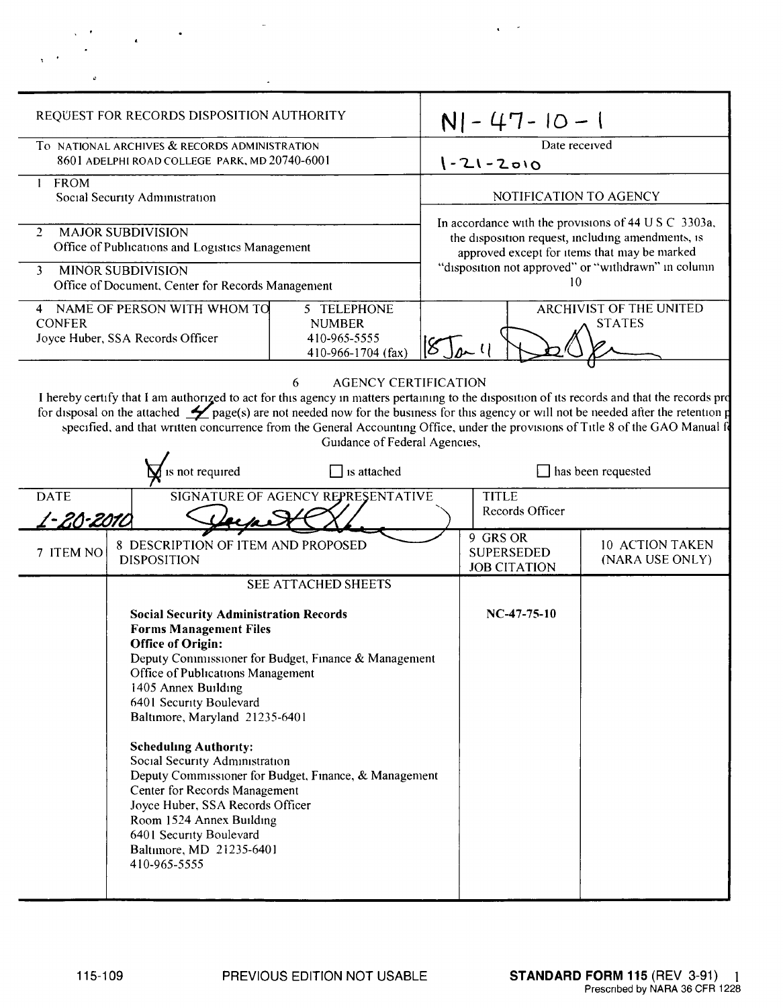| o                                                                                                                                                                                                                                                                                                                                                                                                                                                                                                            |                                                                                                                                                                                                                                                                                                                                                                                                                                                                                                                                                                                                |  |                                                                                                                                                           |                                                      |                                           |
|--------------------------------------------------------------------------------------------------------------------------------------------------------------------------------------------------------------------------------------------------------------------------------------------------------------------------------------------------------------------------------------------------------------------------------------------------------------------------------------------------------------|------------------------------------------------------------------------------------------------------------------------------------------------------------------------------------------------------------------------------------------------------------------------------------------------------------------------------------------------------------------------------------------------------------------------------------------------------------------------------------------------------------------------------------------------------------------------------------------------|--|-----------------------------------------------------------------------------------------------------------------------------------------------------------|------------------------------------------------------|-------------------------------------------|
| REQUEST FOR RECORDS DISPOSITION AUTHORITY                                                                                                                                                                                                                                                                                                                                                                                                                                                                    |                                                                                                                                                                                                                                                                                                                                                                                                                                                                                                                                                                                                |  | $N$   - 47 - 10 - 1                                                                                                                                       |                                                      |                                           |
| To NATIONAL ARCHIVES & RECORDS ADMINISTRATION<br>8601 ADELPHI ROAD COLLEGE PARK, MD 20740-6001                                                                                                                                                                                                                                                                                                                                                                                                               |                                                                                                                                                                                                                                                                                                                                                                                                                                                                                                                                                                                                |  | Date received<br>$1 - 21 - 2010$                                                                                                                          |                                                      |                                           |
| 1 FROM<br>Social Security Administration                                                                                                                                                                                                                                                                                                                                                                                                                                                                     |                                                                                                                                                                                                                                                                                                                                                                                                                                                                                                                                                                                                |  | NOTIFICATION TO AGENCY                                                                                                                                    |                                                      |                                           |
| <b>MAJOR SUBDIVISION</b><br>$\overline{2}$<br>Office of Publications and Logistics Management                                                                                                                                                                                                                                                                                                                                                                                                                |                                                                                                                                                                                                                                                                                                                                                                                                                                                                                                                                                                                                |  | In accordance with the provisions of 44 U S C 3303a,<br>the disposition request, including amendments, is<br>approved except for items that may be marked |                                                      |                                           |
| <b>MINOR SUBDIVISION</b><br>3<br>Office of Document, Center for Records Management                                                                                                                                                                                                                                                                                                                                                                                                                           |                                                                                                                                                                                                                                                                                                                                                                                                                                                                                                                                                                                                |  | "disposition not approved" or "withdrawn" in column<br>10                                                                                                 |                                                      |                                           |
| 4 NAME OF PERSON WITH WHOM TO<br>5 TELEPHONE<br><b>CONFER</b><br><b>NUMBER</b><br>410-965-5555<br>Joyce Huber, SSA Records Officer<br>410-966-1704 (fax)                                                                                                                                                                                                                                                                                                                                                     |                                                                                                                                                                                                                                                                                                                                                                                                                                                                                                                                                                                                |  | <b>ARCHIVIST OF THE UNITED</b><br><b>STATES</b><br>$8 \mu$                                                                                                |                                                      |                                           |
| <b>AGENCY CERTIFICATION</b><br>6<br>I hereby certify that I am authorized to act for this agency in matters pertaining to the disposition of its records and that the records pro<br>for disposal on the attached $\mathcal{L}$ page(s) are not needed now for the business for this agency or will not be needed after the retention p<br>specified, and that written concurrence from the General Accounting Office, under the provisions of Title 8 of the GAO Manual fo<br>Guidance of Federal Agencies, |                                                                                                                                                                                                                                                                                                                                                                                                                                                                                                                                                                                                |  |                                                                                                                                                           |                                                      |                                           |
| is not required<br>is attached                                                                                                                                                                                                                                                                                                                                                                                                                                                                               |                                                                                                                                                                                                                                                                                                                                                                                                                                                                                                                                                                                                |  | has been requested                                                                                                                                        |                                                      |                                           |
| SIGNATURE OF AGENCY REPRESENTATIVE<br><b>DATE</b><br><u> 1 - 20 - 2010</u>                                                                                                                                                                                                                                                                                                                                                                                                                                   |                                                                                                                                                                                                                                                                                                                                                                                                                                                                                                                                                                                                |  | <b>TITLE</b><br>Records Officer                                                                                                                           |                                                      |                                           |
| 8 DESCRIPTION OF ITEM AND PROPOSED<br>7 ITEM NO<br><b>DISPOSITION</b>                                                                                                                                                                                                                                                                                                                                                                                                                                        |                                                                                                                                                                                                                                                                                                                                                                                                                                                                                                                                                                                                |  |                                                                                                                                                           | 9 GRS OR<br><b>SUPERSEDED</b><br><b>JOB CITATION</b> | <b>10 ACTION TAKEN</b><br>(NARA USE ONLY) |
|                                                                                                                                                                                                                                                                                                                                                                                                                                                                                                              | SEE ATTACHED SHEETS                                                                                                                                                                                                                                                                                                                                                                                                                                                                                                                                                                            |  |                                                                                                                                                           |                                                      |                                           |
|                                                                                                                                                                                                                                                                                                                                                                                                                                                                                                              | <b>Social Security Administration Records</b><br><b>Forms Management Files</b><br><b>Office of Origin:</b><br>Deputy Commissioner for Budget, Finance & Management<br>Office of Publications Management<br>1405 Annex Building<br>6401 Security Boulevard<br>Baltimore, Maryland 21235-6401<br><b>Scheduling Authority:</b><br>Social Security Administration<br>Deputy Commissioner for Budget, Finance, & Management<br>Center for Records Management<br>Joyce Huber, SSA Records Officer<br>Room 1524 Annex Building<br>6401 Security Boulevard<br>Baltimore, MD 21235-6401<br>410-965-5555 |  |                                                                                                                                                           | NC-47-75-10                                          |                                           |
|                                                                                                                                                                                                                                                                                                                                                                                                                                                                                                              |                                                                                                                                                                                                                                                                                                                                                                                                                                                                                                                                                                                                |  |                                                                                                                                                           |                                                      |                                           |

 $\epsilon \sim 10^4$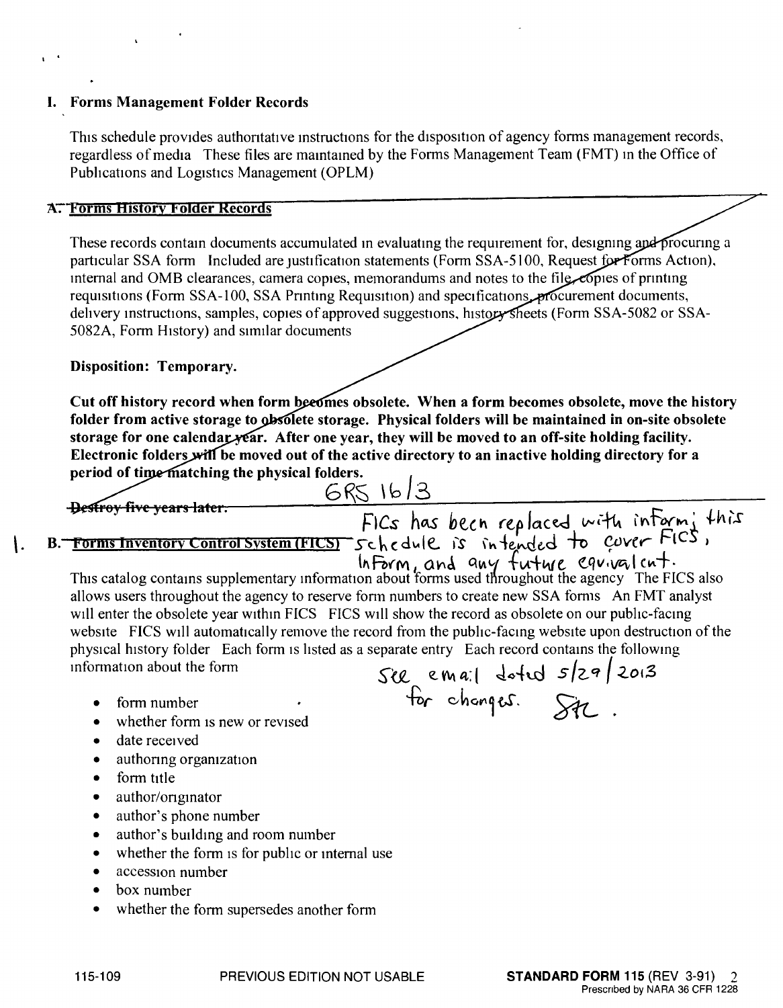## I. Forms Management Folder Records

This schedule provides authoritative instructions for the disposition of agency forms management records, regardless of media These files are mamtamed by the Forms Management Team (FMT) In the Office of Pubhcations and Logistics Management (OPLM)

## **A. Forms History Folder Records**

These records contain documents accumulated in evaluating the requirement for, designing and procuring a particular SSA form Included are justification statements (Form SSA-5100, Request for Forms Action), Internal and OMB clearances, camera copies, memorandums and notes to the file copies of printing requisitions (Form SSA-100, SSA Printing Requisition) and specifications procurement documents, delivery instructions, samples, copies of approved suggestions, history sheets (Form SSA-5082 or SSA-5082A, Form HIstory) and similar documents

## Disposition: Temporary.

Cut off history record when form becomes obsolete. When a form becomes obsolete, move the history folder from active storage to obsolete storage. Physical folders will be maintained in on-site obsolete storage for one calendar vear. After one year, they will be moved to an off-site holding facility. Electronic folders will be moved out of the active directory to an inactive holding directory for a period of time matching the physical folders.

 $GRS$   $16/3$ Destroy five years later. *FICs* has becn replaced with interm, thi. 1. B. Forms Inventory Control System (FICS) schedule is intended to cover FICS,

I •

In Form, and any future equivalent.<br>This catalog contains supplementary information about forms used throughout the agency The FICS also allows users throughout the agency to reserve form numbers to create new SSA forms An FMT analyst will enter the obsolete year within FICS FICS will show the record as obsolete on our public-facing website FICS will automatically remove the record from the public-facmg website upon destruction of the physical history folder Each form is listed as a separate entry Each record contains the following information about the form  $S$   $g$  **e. Wa:**  $\frac{1}{2}$  defed  $\frac{1}{2}$   $\frac{20!}{3!}$ 

for changes. St

- form number
- whether form is new or revised
- $\bullet$  date received
- authoring organization
- form title
- author/originator
- author's phone number
- author's building and room number
- whether the form is for public or internal use
- accession number
- box number
- whether the form supersedes another form